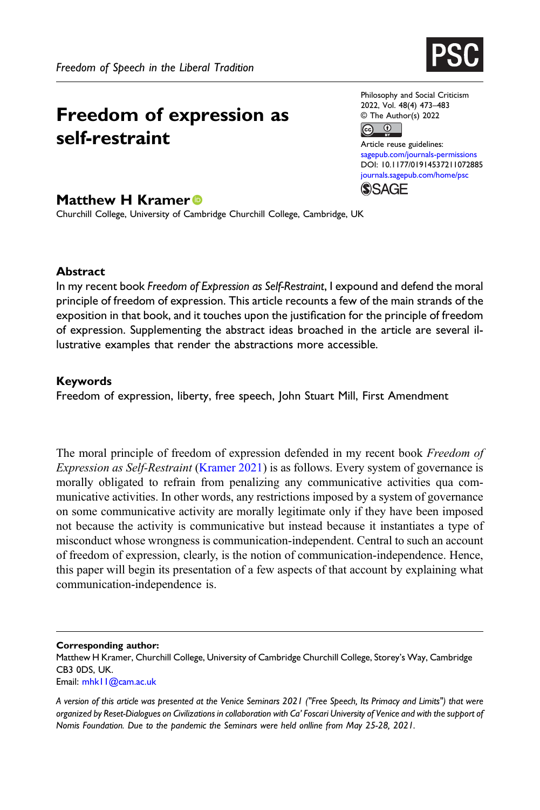

# Freedom of expression as self-restraint

# Matthew H Kramer<sup>®</sup>

Churchill College, University of Cambridge Churchill College, Cambridge, UK

#### **Abstract**

In my recent book Freedom of Expression as Self-Restraint, I expound and defend the moral principle of freedom of expression. This article recounts a few of the main strands of the exposition in that book, and it touches upon the justification for the principle of freedom of expression. Supplementing the abstract ideas broached in the article are several illustrative examples that render the abstractions more accessible.

#### Keywords

Freedom of expression, liberty, free speech, John Stuart Mill, First Amendment

The moral principle of freedom of expression defended in my recent book Freedom of Expression as Self-Restraint [\(Kramer 2021](#page-10-0)) is as follows. Every system of governance is morally obligated to refrain from penalizing any communicative activities qua communicative activities. In other words, any restrictions imposed by a system of governance on some communicative activity are morally legitimate only if they have been imposed not because the activity is communicative but instead because it instantiates a type of misconduct whose wrongness is communication-independent. Central to such an account of freedom of expression, clearly, is the notion of communication-independence. Hence, this paper will begin its presentation of a few aspects of that account by explaining what communication-independence is.

#### Corresponding author:

Matthew H Kramer, Churchill College, University of Cambridge Churchill College, Storey's Way, Cambridge CB3 0DS, UK.

Email: [mhk11@cam.ac.uk](mailto:mhk11@cam.ac.uk)

Philosophy and Social Criticism 2022, Vol. 48(4) 473–483  $\circled{F}$  The Author(s) 2022



Article reuse guidelines: [sagepub.com/journals-permissions](https://uk.sagepub.com/en-gb/journals-permissions) DOI: [10.1177/01914537211072885](https://doi.org/10.1177/01914537211072885) [journals.sagepub.com/home/psc](https://journals.sagepub.com/home/psc) **SSAGE** 

A version of this article was presented at the Venice Seminars 2021 ("Free Speech, Its Primacy and Limits") that were organized by Reset-Dialogues on Civilizations in collaboration with Ca' Foscari University of Venice and with the support of Nomis Foundation. Due to the pandemic the Seminars were held onlline from May 25-28, 2021.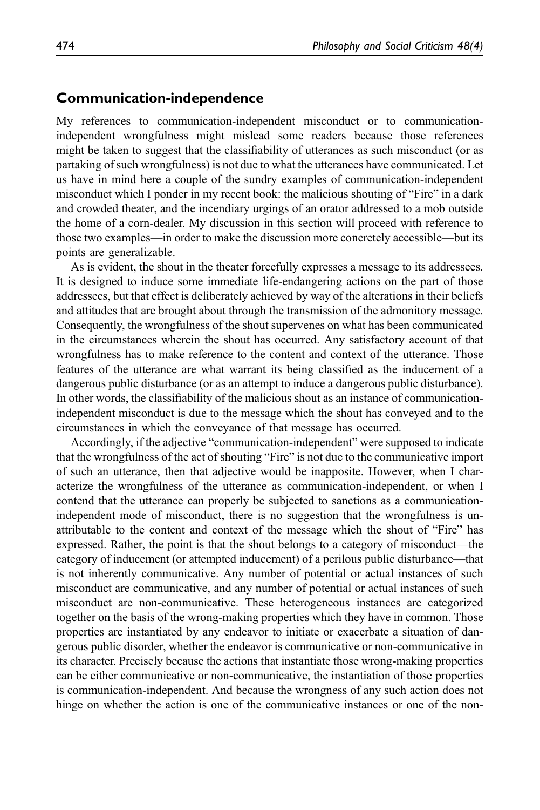#### Communication-independence

My references to communication-independent misconduct or to communicationindependent wrongfulness might mislead some readers because those references might be taken to suggest that the classifiability of utterances as such misconduct (or as partaking of such wrongfulness) is not due to what the utterances have communicated. Let us have in mind here a couple of the sundry examples of communication-independent misconduct which I ponder in my recent book: the malicious shouting of "Fire" in a dark and crowded theater, and the incendiary urgings of an orator addressed to a mob outside the home of a corn-dealer. My discussion in this section will proceed with reference to those two examples—in order to make the discussion more concretely accessible—but its points are generalizable.

As is evident, the shout in the theater forcefully expresses a message to its addressees. It is designed to induce some immediate life-endangering actions on the part of those addressees, but that effect is deliberately achieved by way of the alterations in their beliefs and attitudes that are brought about through the transmission of the admonitory message. Consequently, the wrongfulness of the shout supervenes on what has been communicated in the circumstances wherein the shout has occurred. Any satisfactory account of that wrongfulness has to make reference to the content and context of the utterance. Those features of the utterance are what warrant its being classified as the inducement of a dangerous public disturbance (or as an attempt to induce a dangerous public disturbance). In other words, the classifiability of the malicious shout as an instance of communicationindependent misconduct is due to the message which the shout has conveyed and to the circumstances in which the conveyance of that message has occurred.

Accordingly, if the adjective "communication-independent" were supposed to indicate that the wrongfulness of the act of shouting "Fire" is not due to the communicative import of such an utterance, then that adjective would be inapposite. However, when I characterize the wrongfulness of the utterance as communication-independent, or when I contend that the utterance can properly be subjected to sanctions as a communicationindependent mode of misconduct, there is no suggestion that the wrongfulness is unattributable to the content and context of the message which the shout of "Fire" has expressed. Rather, the point is that the shout belongs to a category of misconduct—the category of inducement (or attempted inducement) of a perilous public disturbance—that is not inherently communicative. Any number of potential or actual instances of such misconduct are communicative, and any number of potential or actual instances of such misconduct are non-communicative. These heterogeneous instances are categorized together on the basis of the wrong-making properties which they have in common. Those properties are instantiated by any endeavor to initiate or exacerbate a situation of dangerous public disorder, whether the endeavor is communicative or non-communicative in its character. Precisely because the actions that instantiate those wrong-making properties can be either communicative or non-communicative, the instantiation of those properties is communication-independent. And because the wrongness of any such action does not hinge on whether the action is one of the communicative instances or one of the non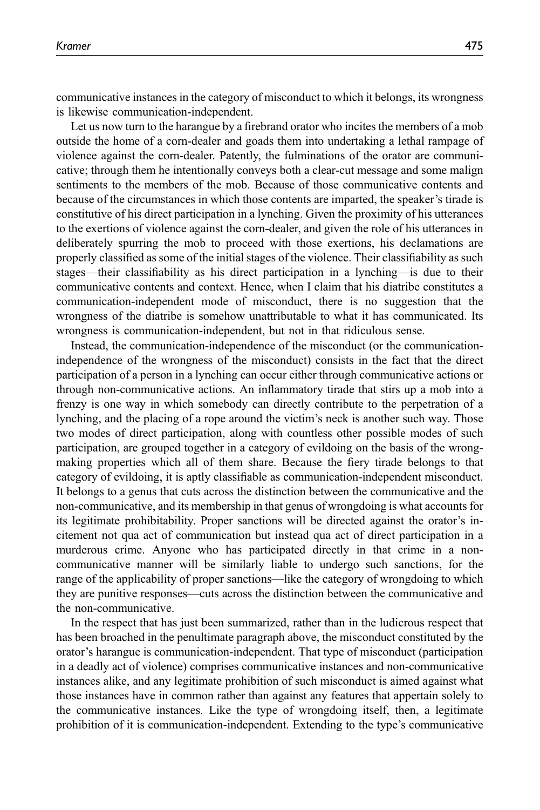communicative instances in the category of misconduct to which it belongs, its wrongness is likewise communication-independent.

Let us now turn to the harangue by a firebrand orator who incites the members of a mob outside the home of a corn-dealer and goads them into undertaking a lethal rampage of violence against the corn-dealer. Patently, the fulminations of the orator are communicative; through them he intentionally conveys both a clear-cut message and some malign sentiments to the members of the mob. Because of those communicative contents and because of the circumstances in which those contents are imparted, the speaker's tirade is constitutive of his direct participation in a lynching. Given the proximity of his utterances to the exertions of violence against the corn-dealer, and given the role of his utterances in deliberately spurring the mob to proceed with those exertions, his declamations are properly classified as some of the initial stages of the violence. Their classifiability as such stages—their classifiability as his direct participation in a lynching—is due to their communicative contents and context. Hence, when I claim that his diatribe constitutes a communication-independent mode of misconduct, there is no suggestion that the wrongness of the diatribe is somehow unattributable to what it has communicated. Its wrongness is communication-independent, but not in that ridiculous sense.

Instead, the communication-independence of the misconduct (or the communicationindependence of the wrongness of the misconduct) consists in the fact that the direct participation of a person in a lynching can occur either through communicative actions or through non-communicative actions. An inflammatory tirade that stirs up a mob into a frenzy is one way in which somebody can directly contribute to the perpetration of a lynching, and the placing of a rope around the victim's neck is another such way. Those two modes of direct participation, along with countless other possible modes of such participation, are grouped together in a category of evildoing on the basis of the wrongmaking properties which all of them share. Because the fiery tirade belongs to that category of evildoing, it is aptly classifiable as communication-independent misconduct. It belongs to a genus that cuts across the distinction between the communicative and the non-communicative, and its membership in that genus of wrongdoing is what accounts for its legitimate prohibitability. Proper sanctions will be directed against the orator's incitement not qua act of communication but instead qua act of direct participation in a murderous crime. Anyone who has participated directly in that crime in a noncommunicative manner will be similarly liable to undergo such sanctions, for the range of the applicability of proper sanctions—like the category of wrongdoing to which they are punitive responses—cuts across the distinction between the communicative and the non-communicative.

In the respect that has just been summarized, rather than in the ludicrous respect that has been broached in the penultimate paragraph above, the misconduct constituted by the orator's harangue is communication-independent. That type of misconduct (participation in a deadly act of violence) comprises communicative instances and non-communicative instances alike, and any legitimate prohibition of such misconduct is aimed against what those instances have in common rather than against any features that appertain solely to the communicative instances. Like the type of wrongdoing itself, then, a legitimate prohibition of it is communication-independent. Extending to the type's communicative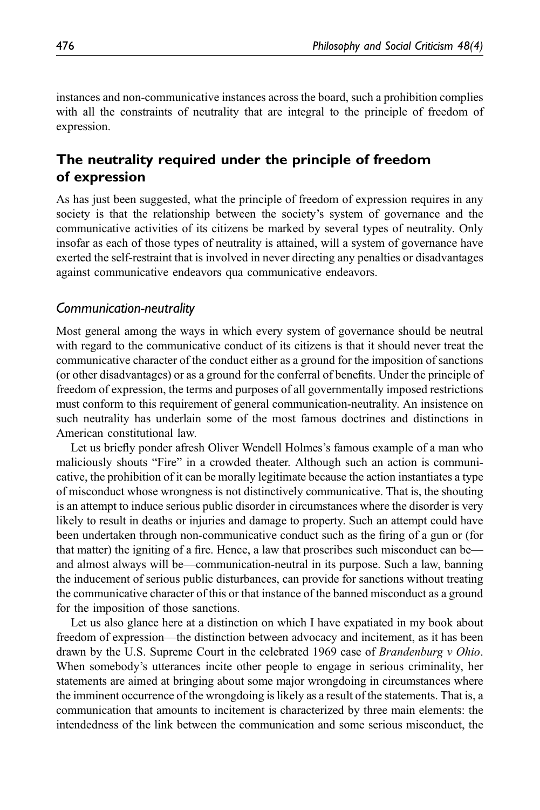instances and non-communicative instances across the board, such a prohibition complies with all the constraints of neutrality that are integral to the principle of freedom of expression.

# The neutrality required under the principle of freedom of expression

As has just been suggested, what the principle of freedom of expression requires in any society is that the relationship between the society's system of governance and the communicative activities of its citizens be marked by several types of neutrality. Only insofar as each of those types of neutrality is attained, will a system of governance have exerted the self-restraint that is involved in never directing any penalties or disadvantages against communicative endeavors qua communicative endeavors.

#### Communication-neutrality

Most general among the ways in which every system of governance should be neutral with regard to the communicative conduct of its citizens is that it should never treat the communicative character of the conduct either as a ground for the imposition of sanctions (or other disadvantages) or as a ground for the conferral of benefits. Under the principle of freedom of expression, the terms and purposes of all governmentally imposed restrictions must conform to this requirement of general communication-neutrality. An insistence on such neutrality has underlain some of the most famous doctrines and distinctions in American constitutional law.

Let us briefly ponder afresh Oliver Wendell Holmes's famous example of a man who maliciously shouts "Fire" in a crowded theater. Although such an action is communicative, the prohibition of it can be morally legitimate because the action instantiates a type of misconduct whose wrongness is not distinctively communicative. That is, the shouting is an attempt to induce serious public disorder in circumstances where the disorder is very likely to result in deaths or injuries and damage to property. Such an attempt could have been undertaken through non-communicative conduct such as the firing of a gun or (for that matter) the igniting of a fire. Hence, a law that proscribes such misconduct can be and almost always will be—communication-neutral in its purpose. Such a law, banning the inducement of serious public disturbances, can provide for sanctions without treating the communicative character of this or that instance of the banned misconduct as a ground for the imposition of those sanctions.

Let us also glance here at a distinction on which I have expatiated in my book about freedom of expression—the distinction between advocacy and incitement, as it has been drawn by the U.S. Supreme Court in the celebrated 1969 case of *Brandenburg v Ohio*. When somebody's utterances incite other people to engage in serious criminality, her statements are aimed at bringing about some major wrongdoing in circumstances where the imminent occurrence of the wrongdoing is likely as a result of the statements. That is, a communication that amounts to incitement is characterized by three main elements: the intendedness of the link between the communication and some serious misconduct, the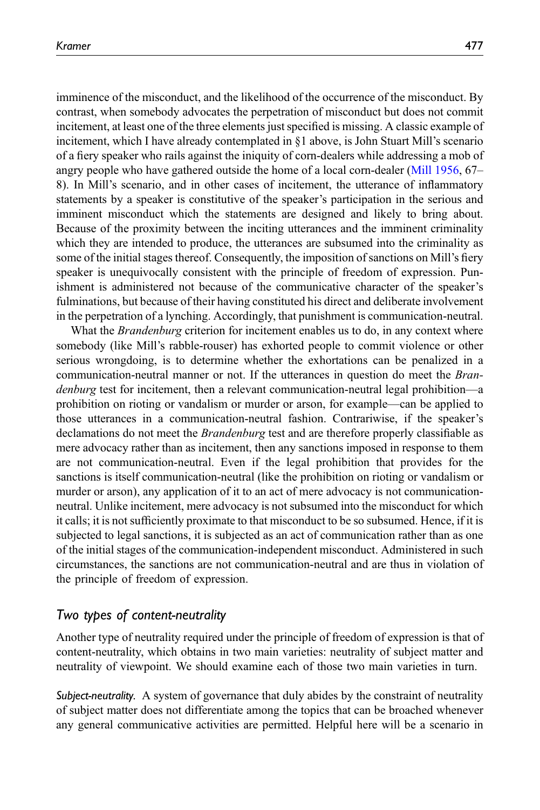imminence of the misconduct, and the likelihood of the occurrence of the misconduct. By contrast, when somebody advocates the perpetration of misconduct but does not commit incitement, at least one of the three elements just specified is missing. A classic example of incitement, which I have already contemplated in §1 above, is John Stuart Mill's scenario of a fiery speaker who rails against the iniquity of corn-dealers while addressing a mob of angry people who have gathered outside the home of a local corn-dealer ([Mill 1956](#page-10-1), 67– 8). In Mill's scenario, and in other cases of incitement, the utterance of inflammatory statements by a speaker is constitutive of the speaker's participation in the serious and imminent misconduct which the statements are designed and likely to bring about. Because of the proximity between the inciting utterances and the imminent criminality which they are intended to produce, the utterances are subsumed into the criminality as some of the initial stages thereof. Consequently, the imposition of sanctions on Mill's fiery speaker is unequivocally consistent with the principle of freedom of expression. Punishment is administered not because of the communicative character of the speaker's fulminations, but because of their having constituted his direct and deliberate involvement in the perpetration of a lynching. Accordingly, that punishment is communication-neutral.

What the *Brandenburg* criterion for incitement enables us to do, in any context where somebody (like Mill's rabble-rouser) has exhorted people to commit violence or other serious wrongdoing, is to determine whether the exhortations can be penalized in a communication-neutral manner or not. If the utterances in question do meet the Brandenburg test for incitement, then a relevant communication-neutral legal prohibition—a prohibition on rioting or vandalism or murder or arson, for example—can be applied to those utterances in a communication-neutral fashion. Contrariwise, if the speaker's declamations do not meet the *Brandenburg* test and are therefore properly classifiable as mere advocacy rather than as incitement, then any sanctions imposed in response to them are not communication-neutral. Even if the legal prohibition that provides for the sanctions is itself communication-neutral (like the prohibition on rioting or vandalism or murder or arson), any application of it to an act of mere advocacy is not communicationneutral. Unlike incitement, mere advocacy is not subsumed into the misconduct for which it calls; it is not sufficiently proximate to that misconduct to be so subsumed. Hence, if it is subjected to legal sanctions, it is subjected as an act of communication rather than as one of the initial stages of the communication-independent misconduct. Administered in such circumstances, the sanctions are not communication-neutral and are thus in violation of the principle of freedom of expression.

# Two types of content-neutrality

Another type of neutrality required under the principle of freedom of expression is that of content-neutrality, which obtains in two main varieties: neutrality of subject matter and neutrality of viewpoint. We should examine each of those two main varieties in turn.

Subject-neutrality. A system of governance that duly abides by the constraint of neutrality of subject matter does not differentiate among the topics that can be broached whenever any general communicative activities are permitted. Helpful here will be a scenario in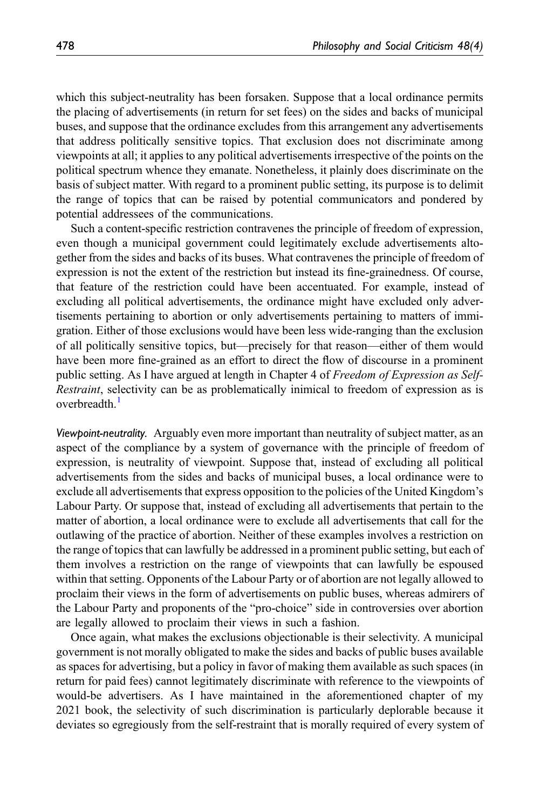which this subject-neutrality has been forsaken. Suppose that a local ordinance permits the placing of advertisements (in return for set fees) on the sides and backs of municipal buses, and suppose that the ordinance excludes from this arrangement any advertisements that address politically sensitive topics. That exclusion does not discriminate among viewpoints at all; it applies to any political advertisements irrespective of the points on the political spectrum whence they emanate. Nonetheless, it plainly does discriminate on the basis of subject matter. With regard to a prominent public setting, its purpose is to delimit the range of topics that can be raised by potential communicators and pondered by potential addressees of the communications.

Such a content-specific restriction contravenes the principle of freedom of expression, even though a municipal government could legitimately exclude advertisements altogether from the sides and backs of its buses. What contravenes the principle of freedom of expression is not the extent of the restriction but instead its fine-grainedness. Of course, that feature of the restriction could have been accentuated. For example, instead of excluding all political advertisements, the ordinance might have excluded only advertisements pertaining to abortion or only advertisements pertaining to matters of immigration. Either of those exclusions would have been less wide-ranging than the exclusion of all politically sensitive topics, but—precisely for that reason—either of them would have been more fine-grained as an effort to direct the flow of discourse in a prominent public setting. As I have argued at length in Chapter 4 of Freedom of Expression as Self-Restraint, selectivity can be as problematically inimical to freedom of expression as is overbreadth.<sup>[1](#page-10-2)</sup>

Viewpoint-neutrality. Arguably even more important than neutrality of subject matter, as an aspect of the compliance by a system of governance with the principle of freedom of expression, is neutrality of viewpoint. Suppose that, instead of excluding all political advertisements from the sides and backs of municipal buses, a local ordinance were to exclude all advertisements that express opposition to the policies of the United Kingdom's Labour Party. Or suppose that, instead of excluding all advertisements that pertain to the matter of abortion, a local ordinance were to exclude all advertisements that call for the outlawing of the practice of abortion. Neither of these examples involves a restriction on the range of topics that can lawfully be addressed in a prominent public setting, but each of them involves a restriction on the range of viewpoints that can lawfully be espoused within that setting. Opponents of the Labour Party or of abortion are not legally allowed to proclaim their views in the form of advertisements on public buses, whereas admirers of the Labour Party and proponents of the "pro-choice" side in controversies over abortion are legally allowed to proclaim their views in such a fashion.

Once again, what makes the exclusions objectionable is their selectivity. A municipal government is not morally obligated to make the sides and backs of public buses available as spaces for advertising, but a policy in favor of making them available as such spaces (in return for paid fees) cannot legitimately discriminate with reference to the viewpoints of would-be advertisers. As I have maintained in the aforementioned chapter of my 2021 book, the selectivity of such discrimination is particularly deplorable because it deviates so egregiously from the self-restraint that is morally required of every system of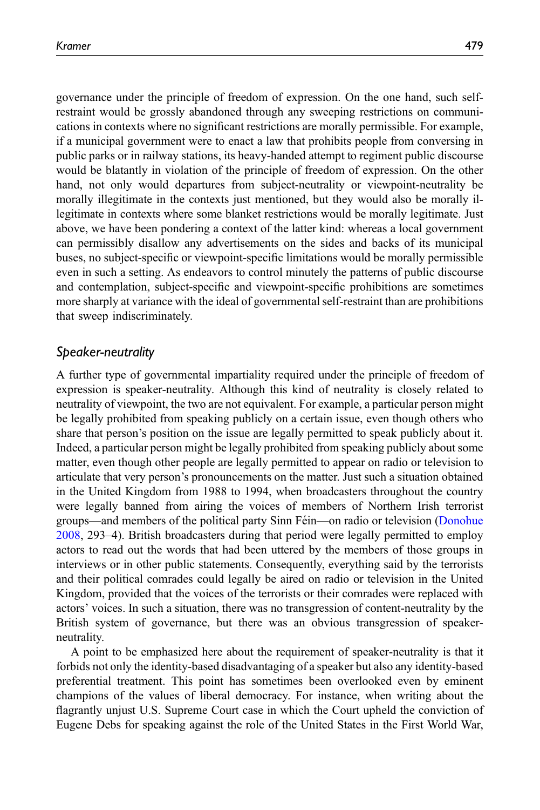governance under the principle of freedom of expression. On the one hand, such selfrestraint would be grossly abandoned through any sweeping restrictions on communications in contexts where no significant restrictions are morally permissible. For example, if a municipal government were to enact a law that prohibits people from conversing in public parks or in railway stations, its heavy-handed attempt to regiment public discourse would be blatantly in violation of the principle of freedom of expression. On the other hand, not only would departures from subject-neutrality or viewpoint-neutrality be morally illegitimate in the contexts just mentioned, but they would also be morally illegitimate in contexts where some blanket restrictions would be morally legitimate. Just above, we have been pondering a context of the latter kind: whereas a local government can permissibly disallow any advertisements on the sides and backs of its municipal buses, no subject-specific or viewpoint-specific limitations would be morally permissible even in such a setting. As endeavors to control minutely the patterns of public discourse and contemplation, subject-specific and viewpoint-specific prohibitions are sometimes more sharply at variance with the ideal of governmental self-restraint than are prohibitions that sweep indiscriminately.

# Speaker-neutrality

A further type of governmental impartiality required under the principle of freedom of expression is speaker-neutrality. Although this kind of neutrality is closely related to neutrality of viewpoint, the two are not equivalent. For example, a particular person might be legally prohibited from speaking publicly on a certain issue, even though others who share that person's position on the issue are legally permitted to speak publicly about it. Indeed, a particular person might be legally prohibited from speaking publicly about some matter, even though other people are legally permitted to appear on radio or television to articulate that very person's pronouncements on the matter. Just such a situation obtained in the United Kingdom from 1988 to 1994, when broadcasters throughout the country were legally banned from airing the voices of members of Northern Irish terrorist groups—and members of the political party Sinn Féin—on radio or television ([Donohue](#page-10-3) [2008,](#page-10-3) 293–4). British broadcasters during that period were legally permitted to employ actors to read out the words that had been uttered by the members of those groups in interviews or in other public statements. Consequently, everything said by the terrorists and their political comrades could legally be aired on radio or television in the United Kingdom, provided that the voices of the terrorists or their comrades were replaced with actors' voices. In such a situation, there was no transgression of content-neutrality by the British system of governance, but there was an obvious transgression of speakerneutrality.

A point to be emphasized here about the requirement of speaker-neutrality is that it forbids not only the identity-based disadvantaging of a speaker but also any identity-based preferential treatment. This point has sometimes been overlooked even by eminent champions of the values of liberal democracy. For instance, when writing about the flagrantly unjust U.S. Supreme Court case in which the Court upheld the conviction of Eugene Debs for speaking against the role of the United States in the First World War,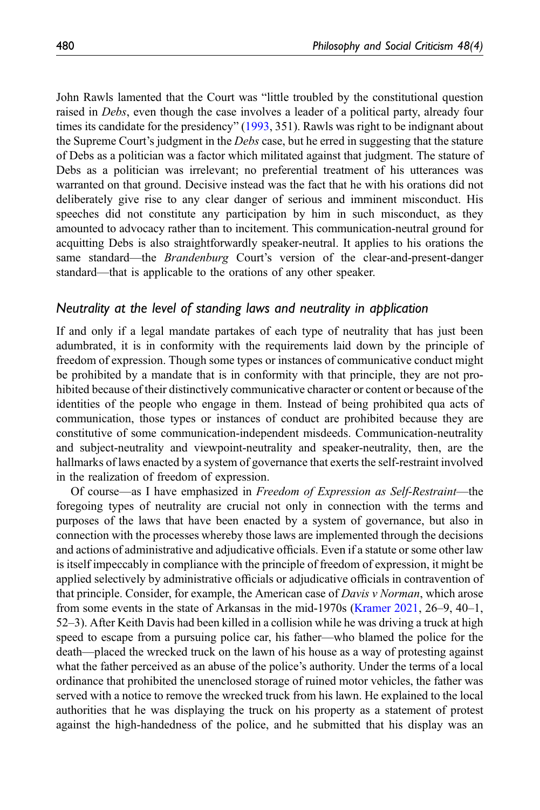John Rawls lamented that the Court was "little troubled by the constitutional question raised in Debs, even though the case involves a leader of a political party, already four times its candidate for the presidency" ([1993,](#page-10-4) 351). Rawls was right to be indignant about the Supreme Court's judgment in the *Debs* case, but he erred in suggesting that the stature of Debs as a politician was a factor which militated against that judgment. The stature of Debs as a politician was irrelevant; no preferential treatment of his utterances was warranted on that ground. Decisive instead was the fact that he with his orations did not deliberately give rise to any clear danger of serious and imminent misconduct. His speeches did not constitute any participation by him in such misconduct, as they amounted to advocacy rather than to incitement. This communication-neutral ground for acquitting Debs is also straightforwardly speaker-neutral. It applies to his orations the same standard—the *Brandenburg* Court's version of the clear-and-present-danger standard—that is applicable to the orations of any other speaker.

# Neutrality at the level of standing laws and neutrality in application

If and only if a legal mandate partakes of each type of neutrality that has just been adumbrated, it is in conformity with the requirements laid down by the principle of freedom of expression. Though some types or instances of communicative conduct might be prohibited by a mandate that is in conformity with that principle, they are not prohibited because of their distinctively communicative character or content or because of the identities of the people who engage in them. Instead of being prohibited qua acts of communication, those types or instances of conduct are prohibited because they are constitutive of some communication-independent misdeeds. Communication-neutrality and subject-neutrality and viewpoint-neutrality and speaker-neutrality, then, are the hallmarks of laws enacted by a system of governance that exerts the self-restraint involved in the realization of freedom of expression.

Of course—as I have emphasized in Freedom of Expression as Self-Restraint—the foregoing types of neutrality are crucial not only in connection with the terms and purposes of the laws that have been enacted by a system of governance, but also in connection with the processes whereby those laws are implemented through the decisions and actions of administrative and adjudicative officials. Even if a statute or some other law is itself impeccably in compliance with the principle of freedom of expression, it might be applied selectively by administrative officials or adjudicative officials in contravention of that principle. Consider, for example, the American case of Davis v Norman, which arose from some events in the state of Arkansas in the mid-1970s [\(Kramer 2021](#page-10-0), 26–9, 40–1, 52–3). After Keith Davis had been killed in a collision while he was driving a truck at high speed to escape from a pursuing police car, his father—who blamed the police for the death—placed the wrecked truck on the lawn of his house as a way of protesting against what the father perceived as an abuse of the police's authority. Under the terms of a local ordinance that prohibited the unenclosed storage of ruined motor vehicles, the father was served with a notice to remove the wrecked truck from his lawn. He explained to the local authorities that he was displaying the truck on his property as a statement of protest against the high-handedness of the police, and he submitted that his display was an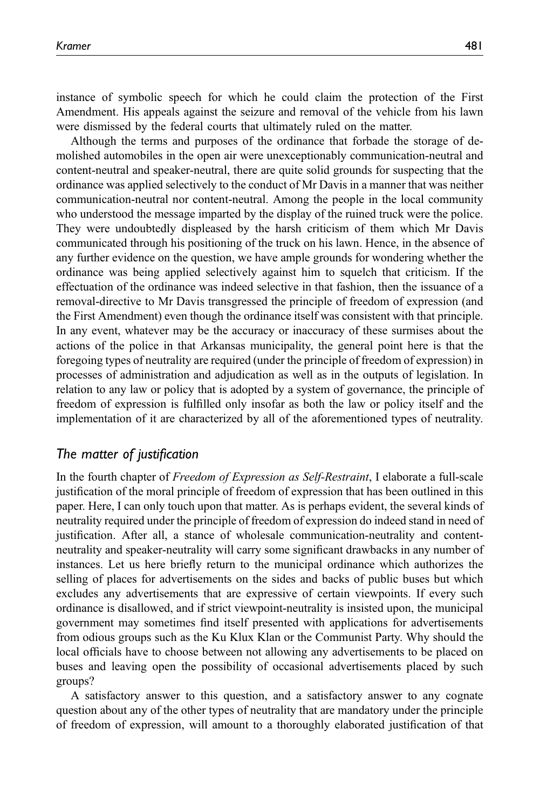instance of symbolic speech for which he could claim the protection of the First Amendment. His appeals against the seizure and removal of the vehicle from his lawn were dismissed by the federal courts that ultimately ruled on the matter.

Although the terms and purposes of the ordinance that forbade the storage of demolished automobiles in the open air were unexceptionably communication-neutral and content-neutral and speaker-neutral, there are quite solid grounds for suspecting that the ordinance was applied selectively to the conduct of Mr Davis in a manner that was neither communication-neutral nor content-neutral. Among the people in the local community who understood the message imparted by the display of the ruined truck were the police. They were undoubtedly displeased by the harsh criticism of them which Mr Davis communicated through his positioning of the truck on his lawn. Hence, in the absence of any further evidence on the question, we have ample grounds for wondering whether the ordinance was being applied selectively against him to squelch that criticism. If the effectuation of the ordinance was indeed selective in that fashion, then the issuance of a removal-directive to Mr Davis transgressed the principle of freedom of expression (and the First Amendment) even though the ordinance itself was consistent with that principle. In any event, whatever may be the accuracy or inaccuracy of these surmises about the actions of the police in that Arkansas municipality, the general point here is that the foregoing types of neutrality are required (under the principle of freedom of expression) in processes of administration and adjudication as well as in the outputs of legislation. In relation to any law or policy that is adopted by a system of governance, the principle of freedom of expression is fulfilled only insofar as both the law or policy itself and the implementation of it are characterized by all of the aforementioned types of neutrality.

## The matter of justification

In the fourth chapter of Freedom of Expression as Self-Restraint, I elaborate a full-scale justification of the moral principle of freedom of expression that has been outlined in this paper. Here, I can only touch upon that matter. As is perhaps evident, the several kinds of neutrality required under the principle of freedom of expression do indeed stand in need of justification. After all, a stance of wholesale communication-neutrality and contentneutrality and speaker-neutrality will carry some significant drawbacks in any number of instances. Let us here briefly return to the municipal ordinance which authorizes the selling of places for advertisements on the sides and backs of public buses but which excludes any advertisements that are expressive of certain viewpoints. If every such ordinance is disallowed, and if strict viewpoint-neutrality is insisted upon, the municipal government may sometimes find itself presented with applications for advertisements from odious groups such as the Ku Klux Klan or the Communist Party. Why should the local officials have to choose between not allowing any advertisements to be placed on buses and leaving open the possibility of occasional advertisements placed by such groups?

A satisfactory answer to this question, and a satisfactory answer to any cognate question about any of the other types of neutrality that are mandatory under the principle of freedom of expression, will amount to a thoroughly elaborated justification of that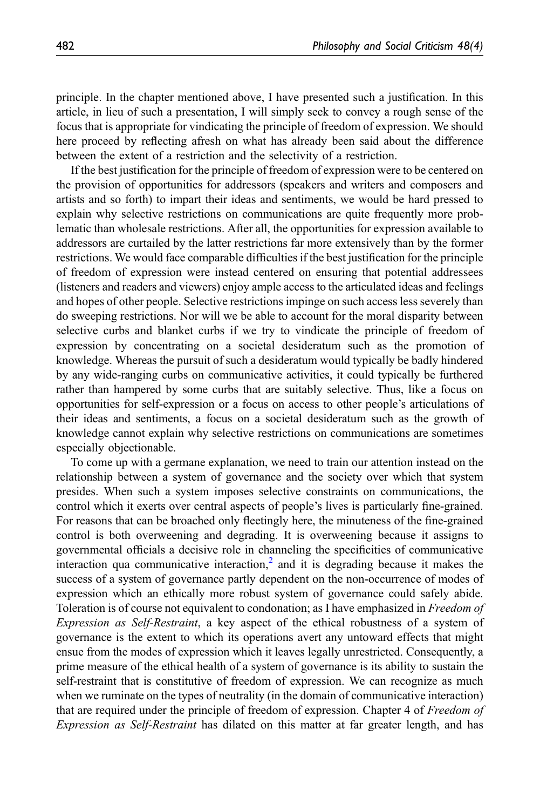principle. In the chapter mentioned above, I have presented such a justification. In this article, in lieu of such a presentation, I will simply seek to convey a rough sense of the focus that is appropriate for vindicating the principle of freedom of expression. We should here proceed by reflecting afresh on what has already been said about the difference between the extent of a restriction and the selectivity of a restriction.

If the best justification for the principle of freedom of expression were to be centered on the provision of opportunities for addressors (speakers and writers and composers and artists and so forth) to impart their ideas and sentiments, we would be hard pressed to explain why selective restrictions on communications are quite frequently more problematic than wholesale restrictions. After all, the opportunities for expression available to addressors are curtailed by the latter restrictions far more extensively than by the former restrictions. We would face comparable difficulties if the best justification for the principle of freedom of expression were instead centered on ensuring that potential addressees (listeners and readers and viewers) enjoy ample access to the articulated ideas and feelings and hopes of other people. Selective restrictions impinge on such access less severely than do sweeping restrictions. Nor will we be able to account for the moral disparity between selective curbs and blanket curbs if we try to vindicate the principle of freedom of expression by concentrating on a societal desideratum such as the promotion of knowledge. Whereas the pursuit of such a desideratum would typically be badly hindered by any wide-ranging curbs on communicative activities, it could typically be furthered rather than hampered by some curbs that are suitably selective. Thus, like a focus on opportunities for self-expression or a focus on access to other people's articulations of their ideas and sentiments, a focus on a societal desideratum such as the growth of knowledge cannot explain why selective restrictions on communications are sometimes especially objectionable.

To come up with a germane explanation, we need to train our attention instead on the relationship between a system of governance and the society over which that system presides. When such a system imposes selective constraints on communications, the control which it exerts over central aspects of people's lives is particularly fine-grained. For reasons that can be broached only fleetingly here, the minuteness of the fine-grained control is both overweening and degrading. It is overweening because it assigns to governmental officials a decisive role in channeling the specificities of communicative interaction qua communicative interaction,<sup>[2](#page-10-5)</sup> and it is degrading because it makes the success of a system of governance partly dependent on the non-occurrence of modes of expression which an ethically more robust system of governance could safely abide. Toleration is of course not equivalent to condonation; as I have emphasized in Freedom of Expression as Self-Restraint, a key aspect of the ethical robustness of a system of governance is the extent to which its operations avert any untoward effects that might ensue from the modes of expression which it leaves legally unrestricted. Consequently, a prime measure of the ethical health of a system of governance is its ability to sustain the self-restraint that is constitutive of freedom of expression. We can recognize as much when we ruminate on the types of neutrality (in the domain of communicative interaction) that are required under the principle of freedom of expression. Chapter 4 of Freedom of Expression as Self-Restraint has dilated on this matter at far greater length, and has